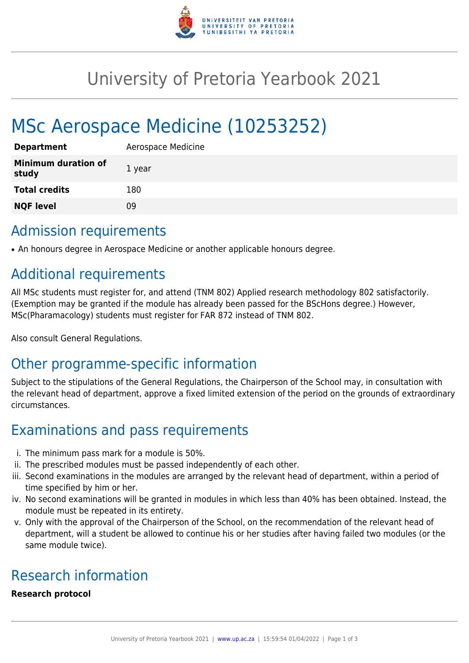

# University of Pretoria Yearbook 2021

# MSc Aerospace Medicine (10253252)

| <b>Department</b>                   | Aerospace Medicine |
|-------------------------------------|--------------------|
| <b>Minimum duration of</b><br>study | 1 year             |
| <b>Total credits</b>                | 180                |
| <b>NQF level</b>                    | Ωd                 |

### Admission requirements

• An honours degree in Aerospace Medicine or another applicable honours degree.

## Additional requirements

All MSc students must register for, and attend (TNM 802) Applied research methodology 802 satisfactorily. (Exemption may be granted if the module has already been passed for the BScHons degree.) However, MSc(Pharamacology) students must register for FAR 872 instead of TNM 802.

Also consult General Regulations.

# Other programme-specific information

Subject to the stipulations of the General Regulations, the Chairperson of the School may, in consultation with the relevant head of department, approve a fixed limited extension of the period on the grounds of extraordinary circumstances.

## Examinations and pass requirements

- i. The minimum pass mark for a module is 50%.
- ii. The prescribed modules must be passed independently of each other.
- iii. Second examinations in the modules are arranged by the relevant head of department, within a period of time specified by him or her.
- iv. No second examinations will be granted in modules in which less than 40% has been obtained. Instead, the module must be repeated in its entirety.
- v. Only with the approval of the Chairperson of the School, on the recommendation of the relevant head of department, will a student be allowed to continue his or her studies after having failed two modules (or the same module twice).

## Research information

#### **Research protocol**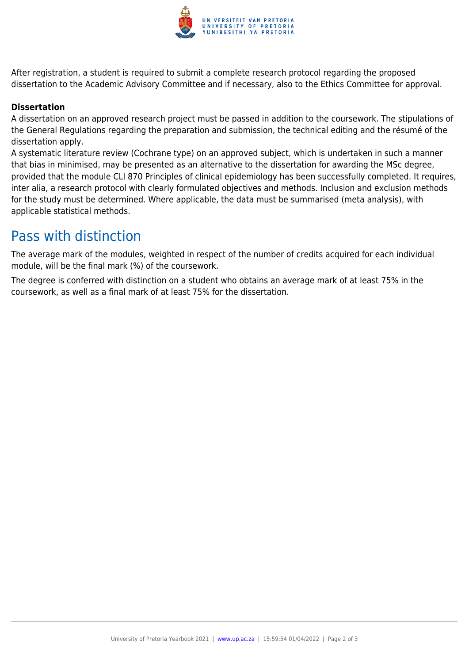

After registration, a student is required to submit a complete research protocol regarding the proposed dissertation to the Academic Advisory Committee and if necessary, also to the Ethics Committee for approval.

#### **Dissertation**

A dissertation on an approved research project must be passed in addition to the coursework. The stipulations of the General Regulations regarding the preparation and submission, the technical editing and the résumé of the dissertation apply.

A systematic literature review (Cochrane type) on an approved subject, which is undertaken in such a manner that bias in minimised, may be presented as an alternative to the dissertation for awarding the MSc degree, provided that the module CLI 870 Principles of clinical epidemiology has been successfully completed. It requires, inter alia, a research protocol with clearly formulated objectives and methods. Inclusion and exclusion methods for the study must be determined. Where applicable, the data must be summarised (meta analysis), with applicable statistical methods.

### Pass with distinction

The average mark of the modules, weighted in respect of the number of credits acquired for each individual module, will be the final mark (%) of the coursework.

The degree is conferred with distinction on a student who obtains an average mark of at least 75% in the coursework, as well as a final mark of at least 75% for the dissertation.